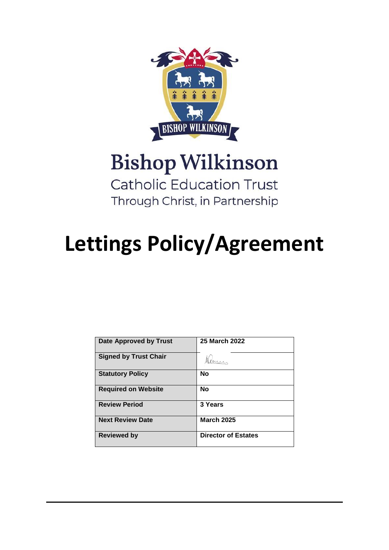

# **Bishop Wilkinson**

**Catholic Education Trust** Through Christ, in Partnership

# **Lettings Policy/Agreement**

| Date Approved by Trust       | 25 March 2022              |
|------------------------------|----------------------------|
| <b>Signed by Trust Chair</b> |                            |
| <b>Statutory Policy</b>      | <b>No</b>                  |
| <b>Required on Website</b>   | <b>No</b>                  |
| <b>Review Period</b>         | 3 Years                    |
| <b>Next Review Date</b>      | <b>March 2025</b>          |
| <b>Reviewed by</b>           | <b>Director of Estates</b> |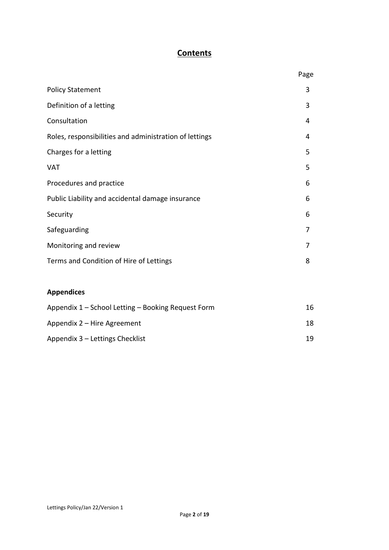# **Contents**

|                                                        | Page |
|--------------------------------------------------------|------|
| <b>Policy Statement</b>                                | 3    |
| Definition of a letting                                | 3    |
| Consultation                                           | 4    |
| Roles, responsibilities and administration of lettings | 4    |
| Charges for a letting                                  | 5    |
| <b>VAT</b>                                             | 5    |
| Procedures and practice                                | 6    |
| Public Liability and accidental damage insurance       | 6    |
| Security                                               | 6    |
| Safeguarding                                           | 7    |
| Monitoring and review                                  | 7    |
| Terms and Condition of Hire of Lettings                | 8    |
|                                                        |      |
| <b>Appendices</b>                                      |      |
| Appendix 1 - School Letting - Booking Request Form     | 16   |
| Appendix 2 - Hire Agreement                            | 18   |
| Appendix 3 - Lettings Checklist                        | 19   |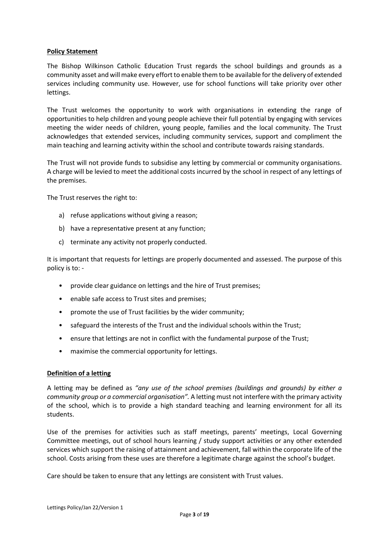#### **Policy Statement**

The Bishop Wilkinson Catholic Education Trust regards the school buildings and grounds as a community asset and will make every effort to enable them to be available for the delivery of extended services including community use. However, use for school functions will take priority over other lettings.

The Trust welcomes the opportunity to work with organisations in extending the range of opportunities to help children and young people achieve their full potential by engaging with services meeting the wider needs of children, young people, families and the local community. The Trust acknowledges that extended services, including community services, support and compliment the main teaching and learning activity within the school and contribute towards raising standards.

The Trust will not provide funds to subsidise any letting by commercial or community organisations. A charge will be levied to meet the additional costs incurred by the school in respect of any lettings of the premises.

The Trust reserves the right to:

- a) refuse applications without giving a reason;
- b) have a representative present at any function;
- c) terminate any activity not properly conducted.

It is important that requests for lettings are properly documented and assessed. The purpose of this policy is to: -

- provide clear guidance on lettings and the hire of Trust premises;
- enable safe access to Trust sites and premises;
- promote the use of Trust facilities by the wider community;
- safeguard the interests of the Trust and the individual schools within the Trust;
- ensure that lettings are not in conflict with the fundamental purpose of the Trust;
- maximise the commercial opportunity for lettings.

#### **Definition of a letting**

A letting may be defined as *"any use of the school premises (buildings and grounds) by either a community group or a commercial organisation".* A letting must not interfere with the primary activity of the school, which is to provide a high standard teaching and learning environment for all its students.

Use of the premises for activities such as staff meetings, parents' meetings, Local Governing Committee meetings, out of school hours learning / study support activities or any other extended services which support the raising of attainment and achievement, fall within the corporate life of the school. Costs arising from these uses are therefore a legitimate charge against the school's budget.

Care should be taken to ensure that any lettings are consistent with Trust values.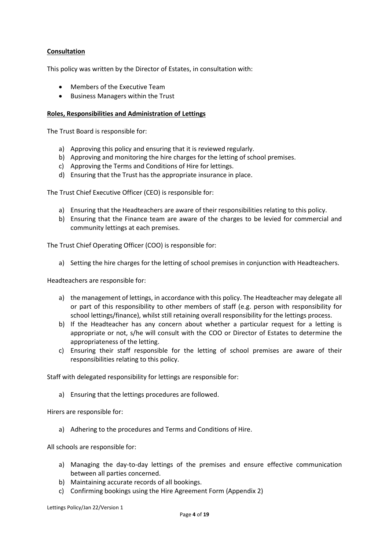# **Consultation**

This policy was written by the Director of Estates, in consultation with:

- Members of the Executive Team
- Business Managers within the Trust

### **Roles, Responsibilities and Administration of Lettings**

The Trust Board is responsible for:

- a) Approving this policy and ensuring that it is reviewed regularly.
- b) Approving and monitoring the hire charges for the letting of school premises.
- c) Approving the Terms and Conditions of Hire for lettings.
- d) Ensuring that the Trust has the appropriate insurance in place.

The Trust Chief Executive Officer (CEO) is responsible for:

- a) Ensuring that the Headteachers are aware of their responsibilities relating to this policy.
- b) Ensuring that the Finance team are aware of the charges to be levied for commercial and community lettings at each premises.

The Trust Chief Operating Officer (COO) is responsible for:

a) Setting the hire charges for the letting of school premises in conjunction with Headteachers.

Headteachers are responsible for:

- a) the management of lettings, in accordance with this policy. The Headteacher may delegate all or part of this responsibility to other members of staff (e.g. person with responsibility for school lettings/finance), whilst still retaining overall responsibility for the lettings process.
- b) If the Headteacher has any concern about whether a particular request for a letting is appropriate or not, s/he will consult with the COO or Director of Estates to determine the appropriateness of the letting.
- c) Ensuring their staff responsible for the letting of school premises are aware of their responsibilities relating to this policy.

Staff with delegated responsibility for lettings are responsible for:

a) Ensuring that the lettings procedures are followed.

Hirers are responsible for:

a) Adhering to the procedures and Terms and Conditions of Hire.

All schools are responsible for:

- a) Managing the day-to-day lettings of the premises and ensure effective communication between all parties concerned.
- b) Maintaining accurate records of all bookings.
- c) Confirming bookings using the Hire Agreement Form (Appendix 2)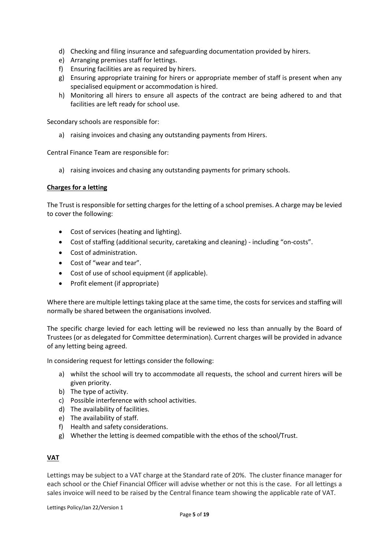- d) Checking and filing insurance and safeguarding documentation provided by hirers.
- e) Arranging premises staff for lettings.
- f) Ensuring facilities are as required by hirers.
- g) Ensuring appropriate training for hirers or appropriate member of staff is present when any specialised equipment or accommodation is hired.
- h) Monitoring all hirers to ensure all aspects of the contract are being adhered to and that facilities are left ready for school use.

Secondary schools are responsible for:

a) raising invoices and chasing any outstanding payments from Hirers.

Central Finance Team are responsible for:

a) raising invoices and chasing any outstanding payments for primary schools.

#### **Charges for a letting**

The Trust is responsible for setting charges for the letting of a school premises. A charge may be levied to cover the following:

- Cost of services (heating and lighting).
- Cost of staffing (additional security, caretaking and cleaning) including "on-costs".
- Cost of administration.
- Cost of "wear and tear".
- Cost of use of school equipment (if applicable).
- Profit element (if appropriate)

Where there are multiple lettings taking place at the same time, the costs for services and staffing will normally be shared between the organisations involved.

The specific charge levied for each letting will be reviewed no less than annually by the Board of Trustees (or as delegated for Committee determination). Current charges will be provided in advance of any letting being agreed.

In considering request for lettings consider the following:

- a) whilst the school will try to accommodate all requests, the school and current hirers will be given priority.
- b) The type of activity.
- c) Possible interference with school activities.
- d) The availability of facilities.
- e) The availability of staff.
- f) Health and safety considerations.
- g) Whether the letting is deemed compatible with the ethos of the school/Trust.

#### **VAT**

Lettings may be subject to a VAT charge at the Standard rate of 20%. The cluster finance manager for each school or the Chief Financial Officer will advise whether or not this is the case. For all lettings a sales invoice will need to be raised by the Central finance team showing the applicable rate of VAT.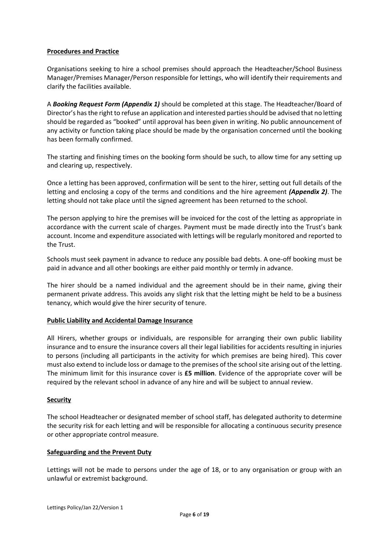### **Procedures and Practice**

Organisations seeking to hire a school premises should approach the Headteacher/School Business Manager/Premises Manager/Person responsible for lettings, who will identify their requirements and clarify the facilities available.

A *Booking Request Form (Appendix 1)* should be completed at this stage. The Headteacher/Board of Director's has the right to refuse an application and interested parties should be advised that no letting should be regarded as "booked" until approval has been given in writing. No public announcement of any activity or function taking place should be made by the organisation concerned until the booking has been formally confirmed.

The starting and finishing times on the booking form should be such, to allow time for any setting up and clearing up, respectively.

Once a letting has been approved, confirmation will be sent to the hirer, setting out full details of the letting and enclosing a copy of the terms and conditions and the hire agreement *(Appendix 2)*. The letting should not take place until the signed agreement has been returned to the school.

The person applying to hire the premises will be invoiced for the cost of the letting as appropriate in accordance with the current scale of charges. Payment must be made directly into the Trust's bank account. Income and expenditure associated with lettings will be regularly monitored and reported to the Trust.

Schools must seek payment in advance to reduce any possible bad debts. A one-off booking must be paid in advance and all other bookings are either paid monthly or termly in advance.

The hirer should be a named individual and the agreement should be in their name, giving their permanent private address. This avoids any slight risk that the letting might be held to be a business tenancy, which would give the hirer security of tenure.

#### **Public Liability and Accidental Damage Insurance**

All Hirers, whether groups or individuals, are responsible for arranging their own public liability insurance and to ensure the insurance covers all their legal liabilities for accidents resulting in injuries to persons (including all participants in the activity for which premises are being hired). This cover must also extend to include loss or damage to the premises of the school site arising out of the letting. The minimum limit for this insurance cover is **£5 million**. Evidence of the appropriate cover will be required by the relevant school in advance of any hire and will be subject to annual review.

#### **Security**

The school Headteacher or designated member of school staff, has delegated authority to determine the security risk for each letting and will be responsible for allocating a continuous security presence or other appropriate control measure.

#### **Safeguarding and the Prevent Duty**

Lettings will not be made to persons under the age of 18, or to any organisation or group with an unlawful or extremist background.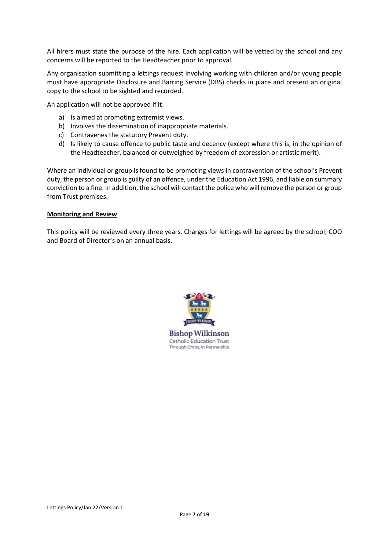All hirers must state the purpose of the hire. Each application will be vetted by the school and any concerns will be reported to the Headteacher prior to approval.

Any organisation submitting a lettings request involving working with children and/or young people must have appropriate Disclosure and Barring Service (DBS) checks in place and present an original copy to the school to be sighted and recorded.

An application will not be approved if it:

- a) Is aimed at promoting extremist views.
- b) Involves the dissemination of inappropriate materials.
- c) Contravenes the statutory Prevent duty.
- d) Is likely to cause offence to public taste and decency (except where this is, in the opinion of the Headteacher, balanced or outweighed by freedom of expression or artistic merit).

Where an individual or group is found to be promoting views in contravention of the school's Prevent duty, the person or group is guilty of an offence, under the Education Act 1996, and liable on summary conviction to a fine. In addition, the school will contact the police who will remove the person or group from Trust premises.

#### **Monitoring and Review**

This policy will be reviewed every three years. Charges for lettings will be agreed by the school, COO and Board of Director's on an annual basis.



**Bishop Wilkinson** Catholic Education Trust Through Christ, in Partnership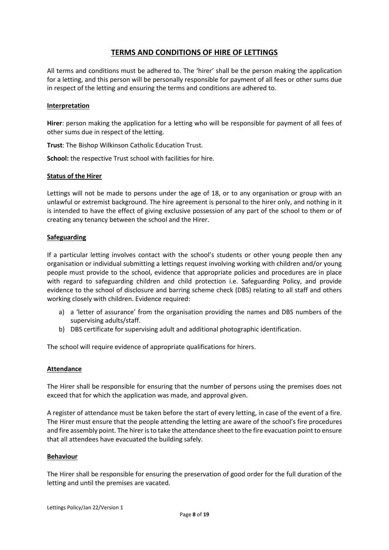# **TERMS AND CONDITIONS OF HIRE OF LETTINGS**

All terms and conditions must be adhered to. The 'hirer' shall be the person making the application for a letting, and this person will be personally responsible for payment of all fees or other sums due in respect of the letting and ensuring the terms and conditions are adhered to.

#### **Interpretation**

**Hirer**: person making the application for a letting who will be responsible for payment of all fees of other sums due in respect of the letting.

**Trust**: The Bishop Wilkinson Catholic Education Trust.

**School:** the respective Trust school with facilities for hire.

# **Status of the Hirer**

Lettings will not be made to persons under the age of 18, or to any organisation or group with an unlawful or extremist background. The hire agreement is personal to the hirer only, and nothing in it is intended to have the effect of giving exclusive possession of any part of the school to them or of creating any tenancy between the school and the Hirer.

#### **Safeguarding**

If a particular letting involves contact with the school's students or other young people then any organisation or individual submitting a lettings request involving working with children and/or young people must provide to the school, evidence that appropriate policies and procedures are in place with regard to safeguarding children and child protection i.e. Safeguarding Policy, and provide evidence to the school of disclosure and barring scheme check (DBS) relating to all staff and others working closely with children. Evidence required:

- a) a 'letter of assurance' from the organisation providing the names and DBS numbers of the supervising adults/staff.
- b) DBS certificate for supervising adult and additional photographic identification.

The school will require evidence of appropriate qualifications for hirers.

#### **Attendance**

The Hirer shall be responsible for ensuring that the number of persons using the premises does not exceed that for which the application was made, and approval given.

A register of attendance must be taken before the start of every letting, in case of the event of a fire. The Hirer must ensure that the people attending the letting are aware of the school's fire procedures and fire assembly point. The hirer is to take the attendance sheet to the fire evacuation point to ensure that all attendees have evacuated the building safely.

#### **Behaviour**

The Hirer shall be responsible for ensuring the preservation of good order for the full duration of the letting and until the premises are vacated.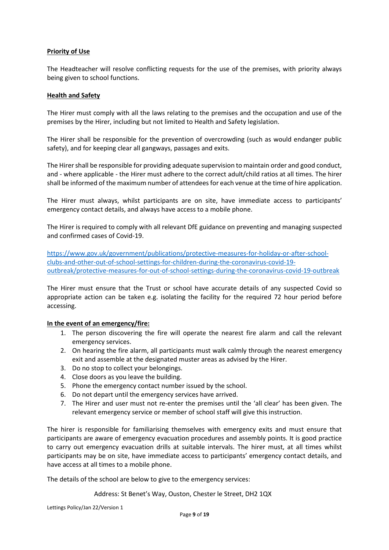# **Priority of Use**

The Headteacher will resolve conflicting requests for the use of the premises, with priority always being given to school functions.

#### **Health and Safety**

The Hirer must comply with all the laws relating to the premises and the occupation and use of the premises by the Hirer, including but not limited to Health and Safety legislation.

The Hirer shall be responsible for the prevention of overcrowding (such as would endanger public safety), and for keeping clear all gangways, passages and exits.

The Hirer shall be responsible for providing adequate supervision to maintain order and good conduct, and - where applicable - the Hirer must adhere to the correct adult/child ratios at all times. The hirer shall be informed of the maximum number of attendees for each venue at the time of hire application.

The Hirer must always, whilst participants are on site, have immediate access to participants' emergency contact details, and always have access to a mobile phone.

The Hirer is required to comply with all relevant DfE guidance on preventing and managing suspected and confirmed cases of Covid-19.

[https://www.gov.uk/government/publications/protective-measures-for-holiday-or-after-school](https://www.gov.uk/government/publications/protective-measures-for-holiday-or-after-school-clubs-and-other-out-of-school-settings-for-children-during-the-coronavirus-covid-19-outbreak/protective-measures-for-out-of-school-settings-during-the-coronavirus-covid-19-outbreak)[clubs-and-other-out-of-school-settings-for-children-during-the-coronavirus-covid-19](https://www.gov.uk/government/publications/protective-measures-for-holiday-or-after-school-clubs-and-other-out-of-school-settings-for-children-during-the-coronavirus-covid-19-outbreak/protective-measures-for-out-of-school-settings-during-the-coronavirus-covid-19-outbreak) [outbreak/protective-measures-for-out-of-school-settings-during-the-coronavirus-covid-19-outbreak](https://www.gov.uk/government/publications/protective-measures-for-holiday-or-after-school-clubs-and-other-out-of-school-settings-for-children-during-the-coronavirus-covid-19-outbreak/protective-measures-for-out-of-school-settings-during-the-coronavirus-covid-19-outbreak)

The Hirer must ensure that the Trust or school have accurate details of any suspected Covid so appropriate action can be taken e.g. isolating the facility for the required 72 hour period before accessing.

#### **In the event of an emergency/fire:**

- 1. The person discovering the fire will operate the nearest fire alarm and call the relevant emergency services.
- 2. On hearing the fire alarm, all participants must walk calmly through the nearest emergency exit and assemble at the designated muster areas as advised by the Hirer.
- 3. Do no stop to collect your belongings.
- 4. Close doors as you leave the building.
- 5. Phone the emergency contact number issued by the school.
- 6. Do not depart until the emergency services have arrived.
- 7. The Hirer and user must not re-enter the premises until the 'all clear' has been given. The relevant emergency service or member of school staff will give this instruction.

The hirer is responsible for familiarising themselves with emergency exits and must ensure that participants are aware of emergency evacuation procedures and assembly points. It is good practice to carry out emergency evacuation drills at suitable intervals. The hirer must, at all times whilst participants may be on site, have immediate access to participants' emergency contact details, and have access at all times to a mobile phone.

The details of the school are below to give to the emergency services:

#### Address: St Benet's Way, Ouston, Chester le Street, DH2 1QX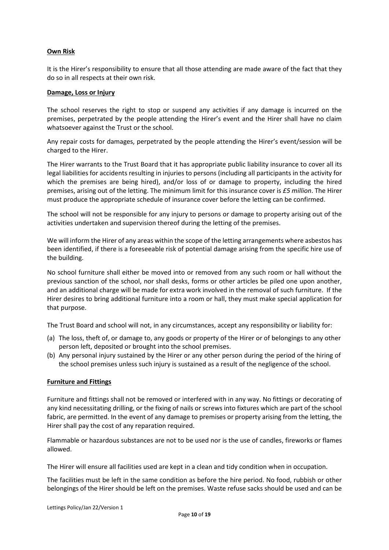#### **Own Risk**

It is the Hirer's responsibility to ensure that all those attending are made aware of the fact that they do so in all respects at their own risk.

#### **Damage, Loss or Injury**

The school reserves the right to stop or suspend any activities if any damage is incurred on the premises, perpetrated by the people attending the Hirer's event and the Hirer shall have no claim whatsoever against the Trust or the school.

Any repair costs for damages, perpetrated by the people attending the Hirer's event/session will be charged to the Hirer.

The Hirer warrants to the Trust Board that it has appropriate public liability insurance to cover all its legal liabilities for accidents resulting in injuries to persons (including all participants in the activity for which the premises are being hired), and/or loss of or damage to property, including the hired premises, arising out of the letting. The minimum limit for this insurance cover is *£5 million*. The Hirer must produce the appropriate schedule of insurance cover before the letting can be confirmed.

The school will not be responsible for any injury to persons or damage to property arising out of the activities undertaken and supervision thereof during the letting of the premises.

We will inform the Hirer of any areas within the scope of the letting arrangements where asbestos has been identified, if there is a foreseeable risk of potential damage arising from the specific hire use of the building.

No school furniture shall either be moved into or removed from any such room or hall without the previous sanction of the school, nor shall desks, forms or other articles be piled one upon another, and an additional charge will be made for extra work involved in the removal of such furniture. If the Hirer desires to bring additional furniture into a room or hall, they must make special application for that purpose.

The Trust Board and school will not, in any circumstances, accept any responsibility or liability for:

- (a) The loss, theft of, or damage to, any goods or property of the Hirer or of belongings to any other person left, deposited or brought into the school premises.
- (b) Any personal injury sustained by the Hirer or any other person during the period of the hiring of the school premises unless such injury is sustained as a result of the negligence of the school.

#### **Furniture and Fittings**

Furniture and fittings shall not be removed or interfered with in any way. No fittings or decorating of any kind necessitating drilling, or the fixing of nails or screws into fixtures which are part of the school fabric, are permitted. In the event of any damage to premises or property arising from the letting, the Hirer shall pay the cost of any reparation required.

Flammable or hazardous substances are not to be used nor is the use of candles, fireworks or flames allowed.

The Hirer will ensure all facilities used are kept in a clean and tidy condition when in occupation.

The facilities must be left in the same condition as before the hire period. No food, rubbish or other belongings of the Hirer should be left on the premises. Waste refuse sacks should be used and can be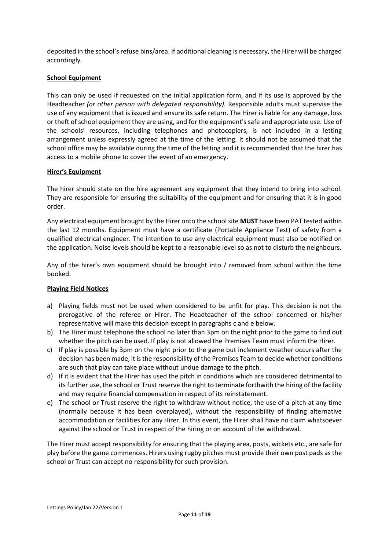deposited in the school's refuse bins/area. If additional cleaning is necessary, the Hirer will be charged accordingly.

#### **School Equipment**

This can only be used if requested on the initial application form, and if its use is approved by the Headteacher *(or other person with delegated responsibility).* Responsible adults must supervise the use of any equipment that is issued and ensure its safe return. The Hirer is liable for any damage, loss or theft of school equipment they are using, and for the equipment's safe and appropriate use. Use of the schools' resources, including telephones and photocopiers, is not included in a letting arrangement unless expressly agreed at the time of the letting. It should not be assumed that the school office may be available during the time of the letting and it is recommended that the hirer has access to a mobile phone to cover the event of an emergency.

#### **Hirer's Equipment**

The hirer should state on the hire agreement any equipment that they intend to bring into school. They are responsible for ensuring the suitability of the equipment and for ensuring that it is in good order.

Any electrical equipment brought by the Hirer onto the school site **MUST** have been PAT tested within the last 12 months. Equipment must have a certificate (Portable Appliance Test) of safety from a qualified electrical engineer. The intention to use any electrical equipment must also be notified on the application. Noise levels should be kept to a reasonable level so as not to disturb the neighbours.

Any of the hirer's own equipment should be brought into / removed from school within the time booked.

#### **Playing Field Notices**

- a) Playing fields must not be used when considered to be unfit for play. This decision is not the prerogative of the referee or Hirer. The Headteacher of the school concerned or his/her representative will make this decision except in paragraphs c and e below.
- b) The Hirer must telephone the school no later than 3pm on the night prior to the game to find out whether the pitch can be used. If play is not allowed the Premises Team must inform the Hirer.
- c) If play is possible by 3pm on the night prior to the game but inclement weather occurs after the decision has been made, it is the responsibility of the Premises Team to decide whether conditions are such that play can take place without undue damage to the pitch.
- d) If it is evident that the Hirer has used the pitch in conditions which are considered detrimental to its further use, the school or Trust reserve the right to terminate forthwith the hiring of the facility and may require financial compensation in respect of its reinstatement.
- e) The school or Trust reserve the right to withdraw without notice, the use of a pitch at any time (normally because it has been overplayed), without the responsibility of finding alternative accommodation or facilities for any Hirer. In this event, the Hirer shall have no claim whatsoever against the school or Trust in respect of the hiring or on account of the withdrawal.

The Hirer must accept responsibility for ensuring that the playing area, posts, wickets etc., are safe for play before the game commences. Hirers using rugby pitches must provide their own post pads as the school or Trust can accept no responsibility for such provision.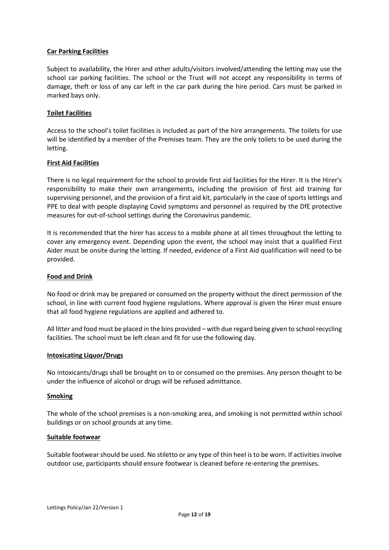#### **Car Parking Facilities**

Subject to availability, the Hirer and other adults/visitors involved/attending the letting may use the school car parking facilities. The school or the Trust will not accept any responsibility in terms of damage, theft or loss of any car left in the car park during the hire period. Cars must be parked in marked bays only.

#### **Toilet Facilities**

Access to the school's toilet facilities is included as part of the hire arrangements. The toilets for use will be identified by a member of the Premises team. They are the only toilets to be used during the letting.

#### **First Aid Facilities**

There is no legal requirement for the school to provide first aid facilities for the Hirer. It is the Hirer's responsibility to make their own arrangements, including the provision of first aid training for supervising personnel, and the provision of a first aid kit, particularly in the case of sports lettings and PPE to deal with people displaying Covid symptoms and personnel as required by the DfE protective measures for out-of-school settings during the Coronavirus pandemic.

It is recommended that the hirer has access to a mobile phone at all times throughout the letting to cover any emergency event. Depending upon the event, the school may insist that a qualified First Aider must be onsite during the letting. If needed, evidence of a First Aid qualification will need to be provided.

#### **Food and Drink**

No food or drink may be prepared or consumed on the property without the direct permission of the school, in line with current food hygiene regulations. Where approval is given the Hirer must ensure that all food hygiene regulations are applied and adhered to.

All litter and food must be placed in the bins provided – with due regard being given to school recycling facilities. The school must be left clean and fit for use the following day.

#### **Intoxicating Liquor/Drugs**

No intoxicants/drugs shall be brought on to or consumed on the premises. Any person thought to be under the influence of alcohol or drugs will be refused admittance.

#### **Smoking**

The whole of the school premises is a non-smoking area, and smoking is not permitted within school buildings or on school grounds at any time.

#### **Suitable footwear**

Suitable footwear should be used. No stiletto or any type of thin heel is to be worn. If activities involve outdoor use, participants should ensure footwear is cleaned before re-entering the premises.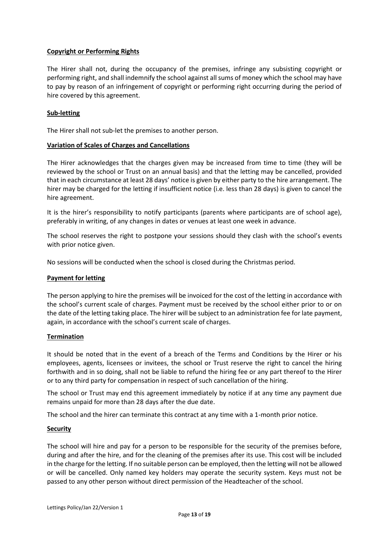## **Copyright or Performing Rights**

The Hirer shall not, during the occupancy of the premises, infringe any subsisting copyright or performing right, and shall indemnify the school against all sums of money which the school may have to pay by reason of an infringement of copyright or performing right occurring during the period of hire covered by this agreement.

# **Sub-letting**

The Hirer shall not sub-let the premises to another person.

#### **Variation of Scales of Charges and Cancellations**

The Hirer acknowledges that the charges given may be increased from time to time (they will be reviewed by the school or Trust on an annual basis) and that the letting may be cancelled, provided that in each circumstance at least 28 days' notice is given by either party to the hire arrangement. The hirer may be charged for the letting if insufficient notice (i.e. less than 28 days) is given to cancel the hire agreement.

It is the hirer's responsibility to notify participants (parents where participants are of school age), preferably in writing, of any changes in dates or venues at least one week in advance.

The school reserves the right to postpone your sessions should they clash with the school's events with prior notice given.

No sessions will be conducted when the school is closed during the Christmas period.

#### **Payment for letting**

The person applying to hire the premises will be invoiced for the cost of the letting in accordance with the school's current scale of charges. Payment must be received by the school either prior to or on the date of the letting taking place. The hirer will be subject to an administration fee for late payment, again, in accordance with the school's current scale of charges.

#### **Termination**

It should be noted that in the event of a breach of the Terms and Conditions by the Hirer or his employees, agents, licensees or invitees, the school or Trust reserve the right to cancel the hiring forthwith and in so doing, shall not be liable to refund the hiring fee or any part thereof to the Hirer or to any third party for compensation in respect of such cancellation of the hiring.

The school or Trust may end this agreement immediately by notice if at any time any payment due remains unpaid for more than 28 days after the due date.

The school and the hirer can terminate this contract at any time with a 1-month prior notice.

#### **Security**

The school will hire and pay for a person to be responsible for the security of the premises before, during and after the hire, and for the cleaning of the premises after its use. This cost will be included in the charge for the letting. If no suitable person can be employed, then the letting will not be allowed or will be cancelled. Only named key holders may operate the security system. Keys must not be passed to any other person without direct permission of the Headteacher of the school.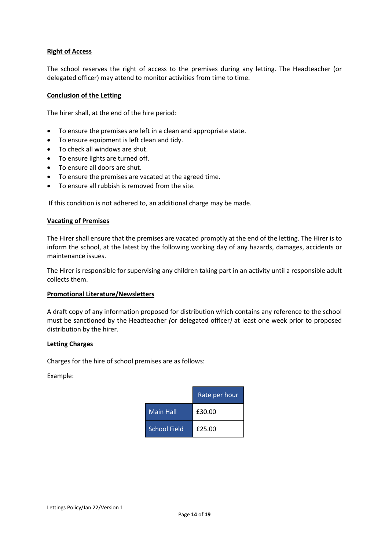#### **Right of Access**

The school reserves the right of access to the premises during any letting. The Headteacher (or delegated officer) may attend to monitor activities from time to time.

#### **Conclusion of the Letting**

The hirer shall, at the end of the hire period:

- To ensure the premises are left in a clean and appropriate state.
- To ensure equipment is left clean and tidy.
- To check all windows are shut.
- To ensure lights are turned off.
- To ensure all doors are shut.
- To ensure the premises are vacated at the agreed time.
- To ensure all rubbish is removed from the site.

If this condition is not adhered to, an additional charge may be made.

#### **Vacating of Premises**

The Hirer shall ensure that the premises are vacated promptly at the end of the letting. The Hirer is to inform the school, at the latest by the following working day of any hazards, damages, accidents or maintenance issues.

The Hirer is responsible for supervising any children taking part in an activity until a responsible adult collects them.

#### **Promotional Literature/Newsletters**

A draft copy of any information proposed for distribution which contains any reference to the school must be sanctioned by the Headteacher *(*or delegated officer*)* at least one week prior to proposed distribution by the hirer.

#### **Letting Charges**

Charges for the hire of school premises are as follows:

Example:

|                     | Rate per hour |
|---------------------|---------------|
| <b>Main Hall</b>    | £30.00        |
| <b>School Field</b> | £25.00        |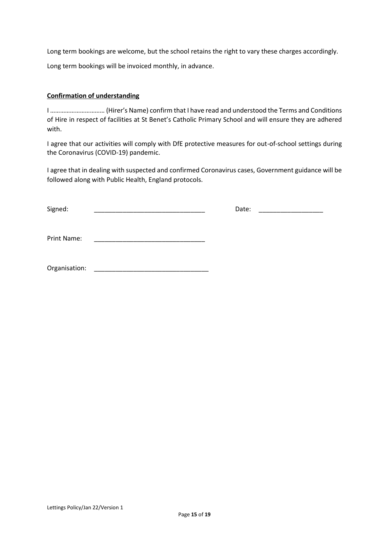Long term bookings are welcome, but the school retains the right to vary these charges accordingly. Long term bookings will be invoiced monthly, in advance.

# **Confirmation of understanding**

I …………………………… (Hirer's Name) confirm that I have read and understood the Terms and Conditions of Hire in respect of facilities at St Benet's Catholic Primary School and will ensure they are adhered with.

I agree that our activities will comply with DfE protective measures for out-of-school settings during the Coronavirus (COVID-19) pandemic.

I agree that in dealing with suspected and confirmed Coronavirus cases, Government guidance will be followed along with Public Health, England protocols.

Signed: \_\_\_\_\_\_\_\_\_\_\_\_\_\_\_\_\_\_\_\_\_\_\_\_\_\_\_\_\_\_\_ Date: \_\_\_\_\_\_\_\_\_\_\_\_\_\_\_\_\_\_

Print Name:

Organisation: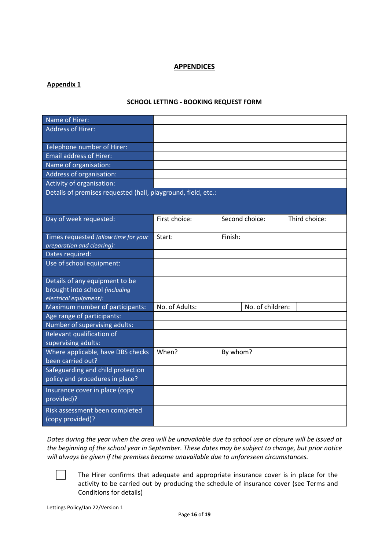# **APPENDICES**

# **Appendix 1**

# **SCHOOL LETTING - BOOKING REQUEST FORM**

| Name of Hirer:                                                |                |                  |               |
|---------------------------------------------------------------|----------------|------------------|---------------|
| <b>Address of Hirer:</b>                                      |                |                  |               |
|                                                               |                |                  |               |
| Telephone number of Hirer:                                    |                |                  |               |
| <b>Email address of Hirer:</b>                                |                |                  |               |
| Name of organisation:                                         |                |                  |               |
| Address of organisation:                                      |                |                  |               |
| Activity of organisation:                                     |                |                  |               |
| Details of premises requested (hall, playground, field, etc.: |                |                  |               |
|                                                               |                |                  |               |
|                                                               | First choice:  | Second choice:   | Third choice: |
| Day of week requested:                                        |                |                  |               |
| Times requested (allow time for your                          | Start:         | Finish:          |               |
| preparation and clearing):                                    |                |                  |               |
| Dates required:                                               |                |                  |               |
| Use of school equipment:                                      |                |                  |               |
|                                                               |                |                  |               |
| Details of any equipment to be                                |                |                  |               |
| brought into school (including                                |                |                  |               |
| electrical equipment):                                        |                |                  |               |
| Maximum number of participants:                               | No. of Adults: | No. of children: |               |
| Age range of participants:                                    |                |                  |               |
| Number of supervising adults:                                 |                |                  |               |
| Relevant qualification of                                     |                |                  |               |
| supervising adults:                                           |                |                  |               |
| Where applicable, have DBS checks                             | When?          | By whom?         |               |
| been carried out?                                             |                |                  |               |
| Safeguarding and child protection                             |                |                  |               |
| policy and procedures in place?                               |                |                  |               |
| Insurance cover in place (copy                                |                |                  |               |
| provided)?                                                    |                |                  |               |
| Risk assessment been completed                                |                |                  |               |
| (copy provided)?                                              |                |                  |               |

*Dates during the year when the area will be unavailable due to school use or closure will be issued at the beginning of the school year in September. These dates may be subject to change, but prior notice will always be given if the premises become unavailable due to unforeseen circumstances.*

The Hirer confirms that adequate and appropriate insurance cover is in place for the activity to be carried out by producing the schedule of insurance cover (see Terms and Conditions for details)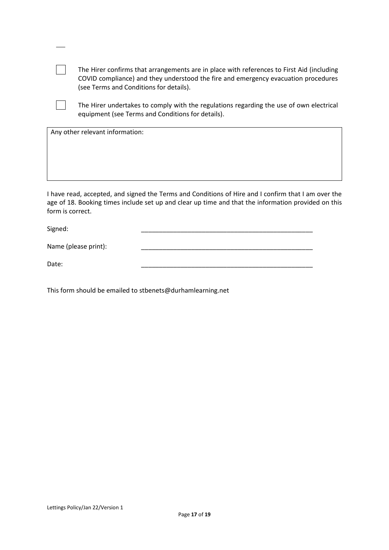| The Hirer confirms that arrangements are in place with references to First Aid (including<br>COVID compliance) and they understood the fire and emergency evacuation procedures<br>(see Terms and Conditions for details). |  |  |  |
|----------------------------------------------------------------------------------------------------------------------------------------------------------------------------------------------------------------------------|--|--|--|
| The Hirer undertakes to comply with the regulations regarding the use of own electrical<br>equipment (see Terms and Conditions for details).                                                                               |  |  |  |
| Any other relevant information:                                                                                                                                                                                            |  |  |  |
|                                                                                                                                                                                                                            |  |  |  |
|                                                                                                                                                                                                                            |  |  |  |
|                                                                                                                                                                                                                            |  |  |  |
|                                                                                                                                                                                                                            |  |  |  |
|                                                                                                                                                                                                                            |  |  |  |

I have read, accepted, and signed the Terms and Conditions of Hire and I confirm that I am over the age of 18. Booking times include set up and clear up time and that the information provided on this form is correct.

Signed: \_\_\_\_\_\_\_\_\_\_\_\_\_\_\_\_\_\_\_\_\_\_\_\_\_\_\_\_\_\_\_\_\_\_\_\_\_\_\_\_\_\_\_\_\_\_\_\_

Name (please print):

Date: \_\_\_\_\_\_\_\_\_\_\_\_\_\_\_\_\_\_\_\_\_\_\_\_\_\_\_\_\_\_\_\_\_\_\_\_\_\_\_\_\_\_\_\_\_\_\_\_

This form should be emailed to stbenets@durhamlearning.net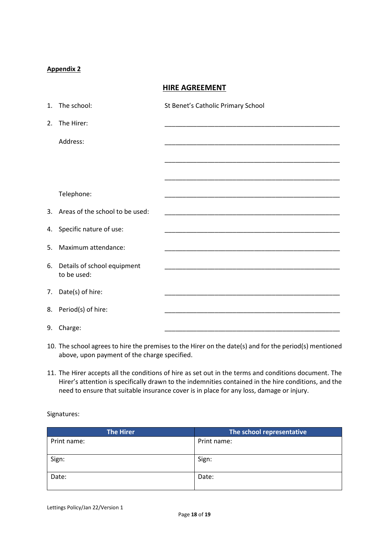# **Appendix 2**

**HIRE AGREEMENT**

|    | 1. The school:                     | St Benet's Catholic Primary School                                                                                   |
|----|------------------------------------|----------------------------------------------------------------------------------------------------------------------|
|    | 2. The Hirer:                      |                                                                                                                      |
|    | Address:                           |                                                                                                                      |
|    |                                    |                                                                                                                      |
|    |                                    |                                                                                                                      |
|    |                                    |                                                                                                                      |
|    | Telephone:                         |                                                                                                                      |
|    | 3. Areas of the school to be used: | <u> 1989 - Johann John Harry Harry Harry Harry Harry Harry Harry Harry Harry Harry Harry Harry Harry Harry Harry</u> |
|    | 4. Specific nature of use:         | <u> 1989 - Johann John Stone, markin amerikan bisa di sebagai kecamatan dan bisa di sebagai kecamatan dalam bisa</u> |
| 5. | Maximum attendance:                | <u> 1989 - Johann John Stone, meny ambany amin'ny fivondronan-kaominin'i Paris (</u>                                 |
|    | 6. Details of school equipment     |                                                                                                                      |
|    | to be used:                        |                                                                                                                      |
|    | 7. Date(s) of hire:                | <u> 1980 - Johann John Stein, mars an deus Amerikaansk kommunister (</u>                                             |
|    | 8. Period(s) of hire:              |                                                                                                                      |
|    | 9. Charge:                         |                                                                                                                      |

- 10. The school agrees to hire the premises to the Hirer on the date(s) and for the period(s) mentioned above, upon payment of the charge specified.
- 11. The Hirer accepts all the conditions of hire as set out in the terms and conditions document. The Hirer's attention is specifically drawn to the indemnities contained in the hire conditions, and the need to ensure that suitable insurance cover is in place for any loss, damage or injury.

Signatures:

| <b>The Hirer</b> | The school representative |
|------------------|---------------------------|
| Print name:      | Print name:               |
|                  |                           |
| Sign:            | Sign:                     |
| Date:            | Date:                     |